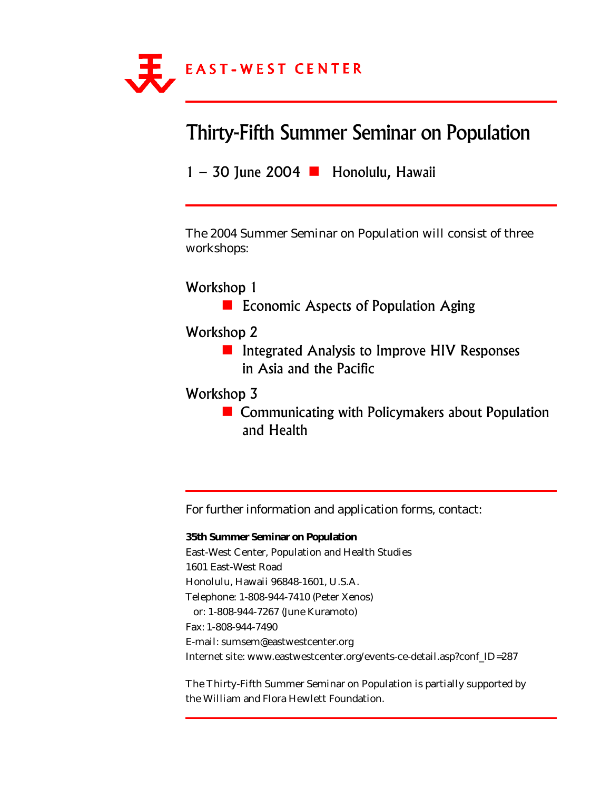

# **Thirty-Fifth Summer Seminar on Population**

1 - 30 June 2004 - Honolulu, Hawaii

*The 2004 Summer Seminar on Population will consist of three workshops:*

### Workshop 1

**Exercise Economic Aspects of Population Aging** 

### Workshop 2

**E** Integrated Analysis to Improve HIV Responses in Asia and the Pacific

### Workshop 3

**E** Communicating with Policymakers about Population and Health

*For further information and application forms, contact:*

### **35th Summer Seminar on Population**

East-West Center, Population and Health Studies 1601 East-West Road Honolulu, Hawaii 96848-1601, U.S.A. Telephone: 1-808-944-7410 (Peter Xenos) or: 1-808-944-7267 (June Kuramoto) Fax: 1-808-944-7490 E-mail: sumsem@eastwestcenter.org Internet site: www.eastwestcenter.org/events-ce-detail.asp?conf\_ID=287

The Thirty-Fifth Summer Seminar on Population is partially supported by the William and Flora Hewlett Foundation.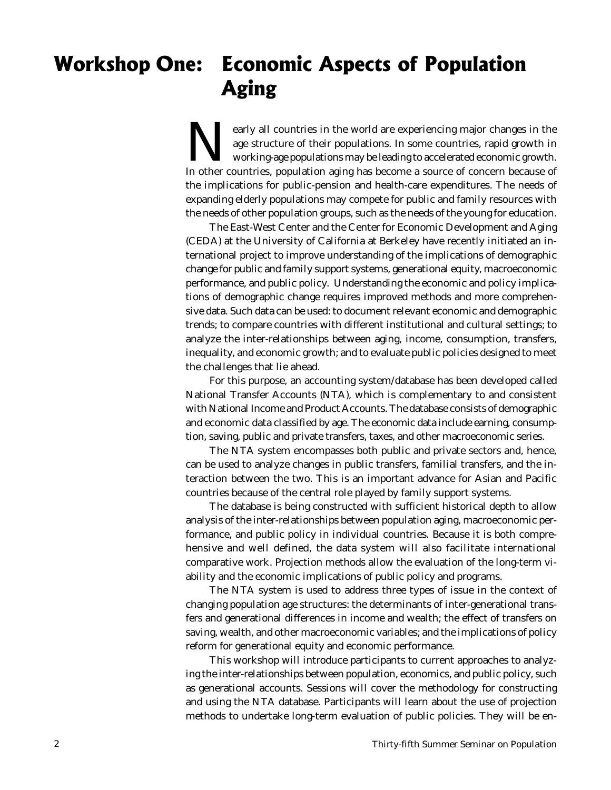# Workshop One: Economic Aspects of Population Aging

EV and the world are experiencing major changes in the age structure of their populations. In some countries, rapid growth in working-age populations may be leading to accelerated economic growth. age structure of their populations. In some countries, rapid growth in working-age populations may be leading to accelerated economic growth. In other countries, population aging has become a source of concern because of the implications for public-pension and health-care expenditures. The needs of expanding elderly populations may compete for public and family resources with the needs of other population groups, such as the needs of the young for education.

The East-West Center and the Center for Economic Development and Aging (CEDA) at the University of California at Berkeley have recently initiated an international project to improve understanding of the implications of demographic change for public and family support systems, generational equity, macroeconomic performance, and public policy. Understanding the economic and policy implications of demographic change requires improved methods and more comprehensive data. Such data can be used: to document relevant economic and demographic trends; to compare countries with different institutional and cultural settings; to analyze the inter-relationships between aging, income, consumption, transfers, inequality, and economic growth; and to evaluate public policies designed to meet the challenges that lie ahead.

For this purpose, an accounting system/database has been developed called National Transfer Accounts (NTA), which is complementary to and consistent with National Income and Product Accounts. The database consists of demographic and economic data classified by age. The economic data include earning, consumption, saving, public and private transfers, taxes, and other macroeconomic series.

The NTA system encompasses both public and private sectors and, hence, can be used to analyze changes in public transfers, familial transfers, and the interaction between the two. This is an important advance for Asian and Pacific countries because of the central role played by family support systems.

The database is being constructed with sufficient historical depth to allow analysis of the inter-relationships between population aging, macroeconomic performance, and public policy in individual countries. Because it is both comprehensive and well defined, the data system will also facilitate international comparative work. Projection methods allow the evaluation of the long-term viability and the economic implications of public policy and programs.

The NTA system is used to address three types of issue in the context of changing population age structures: the determinants of inter-generational transfers and generational differences in income and wealth; the effect of transfers on saving, wealth, and other macroeconomic variables; and the implications of policy reform for generational equity and economic performance.

This workshop will introduce participants to current approaches to analyzing the inter-relationships between population, economics, and public policy, such as generational accounts. Sessions will cover the methodology for constructing and using the NTA database. Participants will learn about the use of projection methods to undertake long-term evaluation of public policies. They will be en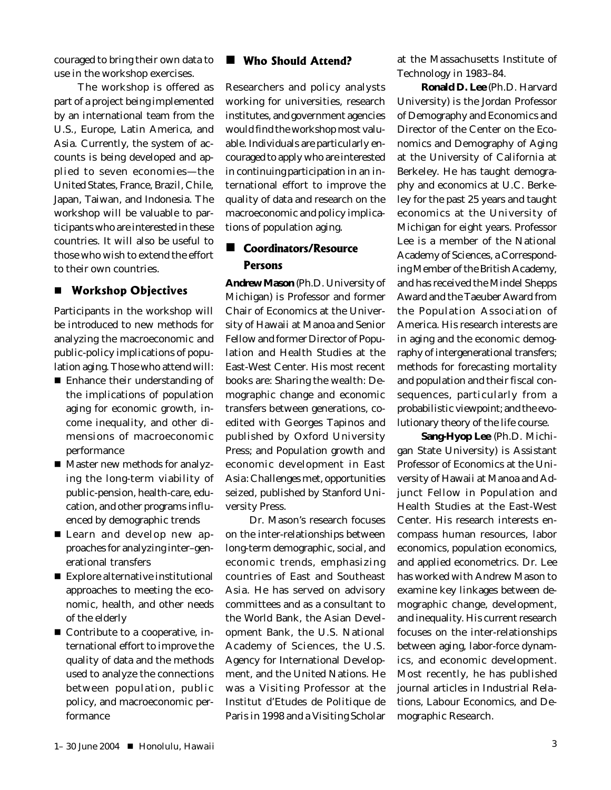couraged to bring their own data to use in the workshop exercises.

The workshop is offered as part of a project being implemented by an international team from the U.S., Europe, Latin America, and Asia. Currently, the system of accounts is being developed and applied to seven economies—the United States, France, Brazil, Chile, Japan, Taiwan, and Indonesia. The workshop will be valuable to participants who are interested in these countries. It will also be useful to those who wish to extend the effort to their own countries.

### **E** Workshop Objectives

Participants in the workshop will be introduced to new methods for analyzing the macroeconomic and public-policy implications of population aging. Those who attend will:

- Enhance their understanding of the implications of population aging for economic growth, income inequality, and other dimensions of macroeconomic performance
- Master new methods for analyzing the long-term viability of public-pension, health-care, education, and other programs influenced by demographic trends
- Learn and develop new approaches for analyzing inter–generational transfers
- Explore alternative institutional approaches to meeting the economic, health, and other needs of the elderly
- Contribute to a cooperative, international effort to improve the quality of data and the methods used to analyze the connections between population, public policy, and macroeconomic performance

### **U** Who Should Attend?

Researchers and policy analysts working for universities, research institutes, and government agencies would find the workshop most valuable. Individuals are particularly encouraged to apply who are interested in continuing participation in an international effort to improve the quality of data and research on the macroeconomic and policy implications of population aging.

### ■ Coordinators/Resource Persons

**Andrew Mason** (Ph.D. University of Michigan) is Professor and former Chair of Economics at the University of Hawaii at Manoa and Senior Fellow and former Director of Population and Health Studies at the East-West Center. His most recent books are: *Sharing the wealth: Demographic change and economic transfers between generations,* coedited with Georges Tapinos and published by Oxford University Press; and *Population growth and economic development in East Asia: Challenges met, opportunities seized*, published by Stanford University Press*.*

Dr. Mason's research focuses on the inter-relationships between long-term demographic, social, and economic trends, emphasizing countries of East and Southeast Asia. He has served on advisory committees and as a consultant to the World Bank, the Asian Development Bank, the U.S. National Academy of Sciences, the U.S. Agency for International Development, and the United Nations. He was a Visiting Professor at the Institut d'Etudes de Politique de Paris in 1998 and a Visiting Scholar at the Massachusetts Institute of Technology in 1983–84.

**Ronald D. Lee** (Ph.D. Harvard University) is the Jordan Professor of Demography and Economics and Director of the Center on the Economics and Demography of Aging at the University of California at Berkeley. He has taught demography and economics at U.C. Berkeley for the past 25 years and taught economics at the University of Michigan for eight years. Professor Lee is a member of the National Academy of Sciences, a Corresponding Member of the British Academy, and has received the Mindel Shepps Award and the Taeuber Award from the Population Association of America. His research interests are in aging and the economic demography of intergenerational transfers; methods for forecasting mortality and population and their fiscal consequences, particularly from a probabilistic viewpoint; and the evolutionary theory of the life course.

**Sang-Hyop Lee** (Ph.D. Michigan State University) is Assistant Professor of Economics at the University of Hawaii at Manoa and Adjunct Fellow in Population and Health Studies at the East-West Center. His research interests encompass human resources, labor economics, population economics, and applied econometrics. Dr. Lee has worked with Andrew Mason to examine key linkages between demographic change, development, and inequality. His current research focuses on the inter-relationships between aging, labor-force dynamics, and economic development. Most recently, he has published journal articles in *Industrial Relations, Labour Economics*, and *Demographic Research*.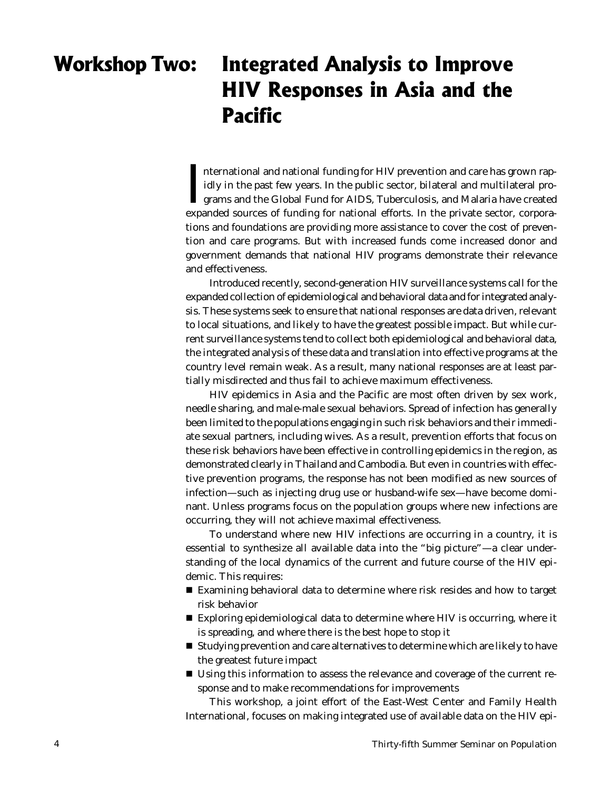## Workshop Two : Integrated Analysis to Improve HIV Responses in Asia and the **Pacific**

International and national funding for HIV prevention and care has grown rapidly in the past few years. In the public sector, bilateral and multilateral programs and the Global Fund for AIDS, Tuberculosis, and Malaria have nternational and national funding for HIV prevention and care has grown rapidly in the past few years. In the public sector, bilateral and multilateral programs and the Global Fund for AIDS, Tuberculosis, and Malaria have created tions and foundations are providing more assistance to cover the cost of prevention and care programs. But with increased funds come increased donor and government demands that national HIV programs demonstrate their relevance and effectiveness.

Introduced recently, second-generation HIV surveillance systems call for the expanded collection of epidemiological and behavioral data and for integrated analysis. These systems seek to ensure that national responses are data driven, relevant to local situations, and likely to have the greatest possible impact. But while current surveillance systems tend to collect both epidemiological and behavioral data, the integrated analysis of these data and translation into effective programs at the country level remain weak. As a result, many national responses are at least partially misdirected and thus fail to achieve maximum effectiveness.

HIV epidemics in Asia and the Pacific are most often driven by sex work, needle sharing, and male-male sexual behaviors. Spread of infection has generally been limited to the populations engaging in such risk behaviors and their immediate sexual partners, including wives. As a result, prevention efforts that focus on these risk behaviors have been effective in controlling epidemics in the region, as demonstrated clearly in Thailand and Cambodia. But even in countries with effective prevention programs, the response has not been modified as new sources of infection—such as injecting drug use or husband-wife sex—have become dominant. Unless programs focus on the population groups where new infections are occurring, they will not achieve maximal effectiveness.

To understand where new HIV infections are occurring in a country, it is essential to synthesize all available data into the "big picture"—a clear understanding of the local dynamics of the current and future course of the HIV epidemic. This requires:

- Examining behavioral data to determine where risk resides and how to target risk behavior
- Exploring epidemiological data to determine where HIV is occurring, where it is spreading, and where there is the best hope to stop it
- **Studying prevention and care alternatives to determine which are likely to have** the greatest future impact
- Using this information to assess the relevance and coverage of the current response and to make recommendations for improvements

This workshop, a joint effort of the East-West Center and Family Health International, focuses on making integrated use of available data on the HIV epi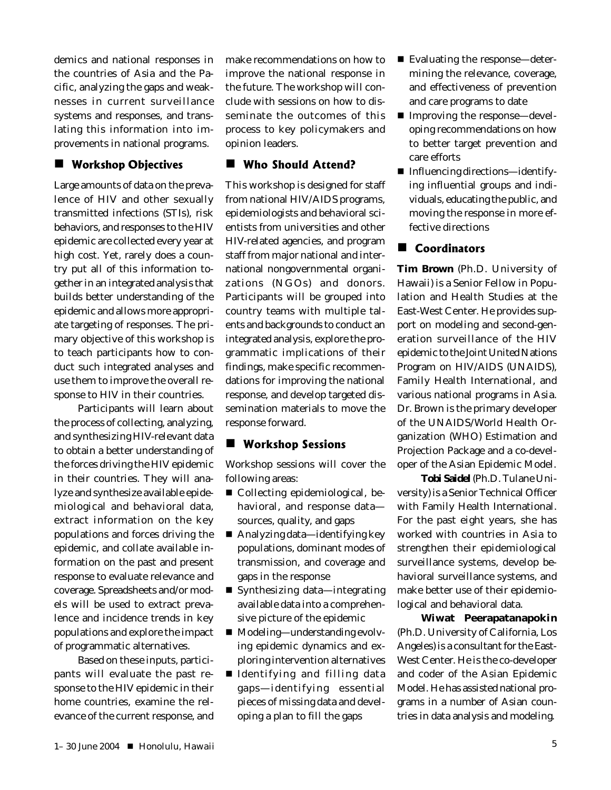demics and national responses in the countries of Asia and the Pacific, analyzing the gaps and weaknesses in current surveillance systems and responses, and translating this information into improvements in national programs.

## **U** Workshop Objectives

Large amounts of data on the prevalence of HIV and other sexually transmitted infections (STIs), risk behaviors, and responses to the HIV epidemic are collected every year at high cost. Yet, rarely does a country put all of this information together in an integrated analysis that builds better understanding of the epidemic and allows more appropriate targeting of responses. The primary objective of this workshop is to teach participants how to conduct such integrated analyses and use them to improve the overall response to HIV in their countries.

Participants will learn about the process of collecting, analyzing, and synthesizing HIV-relevant data to obtain a better understanding of the forces driving the HIV epidemic in their countries. They will analyze and synthesize available epidemiological and behavioral data, extract information on the key populations and forces driving the epidemic, and collate available information on the past and present response to evaluate relevance and coverage. Spreadsheets and/or models will be used to extract prevalence and incidence trends in key populations and explore the impact of programmatic alternatives.

Based on these inputs, participants will evaluate the past response to the HIV epidemic in their home countries, examine the relevance of the current response, and make recommendations on how to improve the national response in the future. The workshop will conclude with sessions on how to disseminate the outcomes of this process to key policymakers and opinion leaders.

## **Who Should Attend?**

This workshop is designed for staff from national HIV/AIDS programs, epidemiologists and behavioral scientists from universities and other HIV-related agencies, and program staff from major national and international nongovernmental organizations (NGOs) and donors. Participants will be grouped into country teams with multiple talents and backgrounds to conduct an integrated analysis, explore the programmatic implications of their findings, make specific recommendations for improving the national response, and develop targeted dissemination materials to move the response forward.

## **U** Workshop Sessions

Workshop sessions will cover the following areas:

- Collecting epidemiological, behavioral, and response data sources, quality, and gaps
- Analyzing data—identifying key populations, dominant modes of transmission, and coverage and gaps in the response
- Synthesizing data—integrating available data into a comprehensive picture of the epidemic
- Modeling—understanding evolving epidemic dynamics and exploring intervention alternatives
- Identifying and filling data gaps—identifying essential pieces of missing data and developing a plan to fill the gaps
- Evaluating the response—determining the relevance, coverage, and effectiveness of prevention and care programs to date
- Improving the response—developing recommendations on how to better target prevention and care efforts
- Influencing directions—identifying influential groups and individuals, educating the public, and moving the response in more effective directions

## Coordinators

**Tim Brown** (Ph.D. University of Hawaii) is a Senior Fellow in Population and Health Studies at the East-West Center. He provides support on modeling and second-generation surveillance of the HIV epidemic to the Joint United Nations Program on HIV/AIDS (UNAIDS), Family Health International, and various national programs in Asia. Dr. Brown is the primary developer of the UNAIDS/World Health Organization (WHO) Estimation and Projection Package and a co-developer of the Asian Epidemic Model.

**Tobi Saidel** (Ph.D. Tulane University) is a Senior Technical Officer with Family Health International. For the past eight years, she has worked with countries in Asia to strengthen their epidemiological surveillance systems, develop behavioral surveillance systems, and make better use of their epidemiological and behavioral data.

**Wiwat Peerapatanapokin** (Ph.D. University of California, Los Angeles) is a consultant for the East-West Center. He is the co-developer and coder of the Asian Epidemic Model. He has assisted national programs in a number of Asian countries in data analysis and modeling.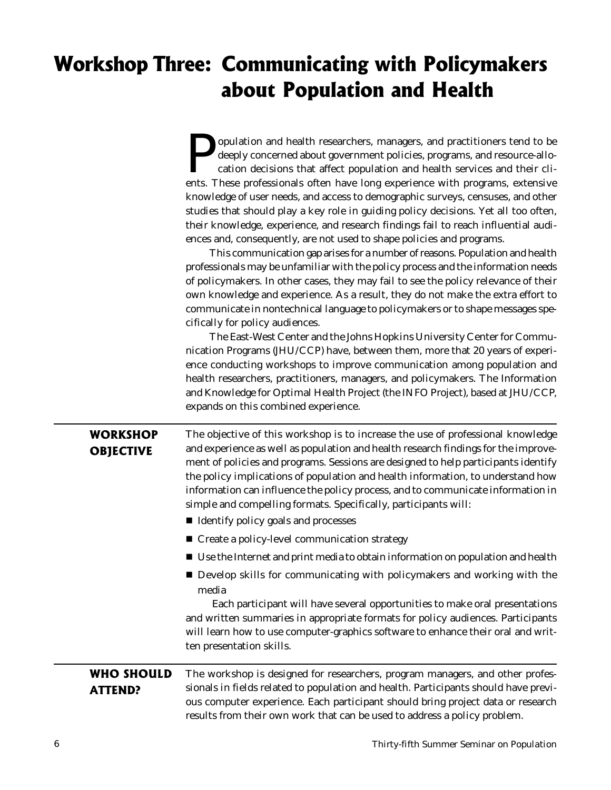# Workshop Three: Communicating with Policymakers about Population and Health

| opulation and health researchers, managers, and practitioners tend to be            |  |  |  |  |
|-------------------------------------------------------------------------------------|--|--|--|--|
| deeply concerned about government policies, programs, and resource-allo-            |  |  |  |  |
| cation decisions that affect population and health services and their cli-          |  |  |  |  |
| ents. These professionals often have long experience with programs, extensive       |  |  |  |  |
| knowledge of user needs, and access to demographic surveys, censuses, and other     |  |  |  |  |
| studies that should play a key role in guiding policy decisions. Yet all too often, |  |  |  |  |
| their knowledge, experience, and research findings fail to reach influential audi-  |  |  |  |  |
| ences and, consequently, are not used to shape policies and programs.               |  |  |  |  |

This communication gap arises for a number of reasons. Population and health professionals may be unfamiliar with the policy process and the information needs of policymakers. In other cases, they may fail to see the policy relevance of their own knowledge and experience. As a result, they do not make the extra effort to communicate in nontechnical language to policymakers or to shape messages specifically for policy audiences.

The East-West Center and the Johns Hopkins University Center for Communication Programs (JHU/CCP) have, between them, more that 20 years of experience conducting workshops to improve communication among population and health researchers, practitioners, managers, and policymakers. The Information and Knowledge for Optimal Health Project (the INFO Project), based at JHU/CCP, expands on this combined experience.

| <b>WORKSHOP</b><br><b>OBJECTIVE</b> | The objective of this workshop is to increase the use of professional knowledge<br>and experience as well as population and health research findings for the improve-<br>ment of policies and programs. Sessions are designed to help participants identify<br>the policy implications of population and health information, to understand how<br>information can influence the policy process, and to communicate information in<br>simple and compelling formats. Specifically, participants will: |
|-------------------------------------|------------------------------------------------------------------------------------------------------------------------------------------------------------------------------------------------------------------------------------------------------------------------------------------------------------------------------------------------------------------------------------------------------------------------------------------------------------------------------------------------------|
|                                     | ■ Identify policy goals and processes                                                                                                                                                                                                                                                                                                                                                                                                                                                                |
|                                     | ■ Create a policy-level communication strategy                                                                                                                                                                                                                                                                                                                                                                                                                                                       |
|                                     | ■ Use the Internet and print media to obtain information on population and health                                                                                                                                                                                                                                                                                                                                                                                                                    |
|                                     | Develop skills for communicating with policymakers and working with the<br>media<br>Each participant will have several opportunities to make oral presentations<br>and written summaries in appropriate formats for policy audiences. Participants<br>will learn how to use computer-graphics software to enhance their oral and writ-<br>ten presentation skills.                                                                                                                                   |
| <b>WHO SHOULD</b><br><b>ATTEND?</b> | The workshop is designed for researchers, program managers, and other profes-<br>sionals in fields related to population and health. Participants should have previ-<br>ous computer experience. Each participant should bring project data or research<br>results from their own work that can be used to address a policy problem.                                                                                                                                                                 |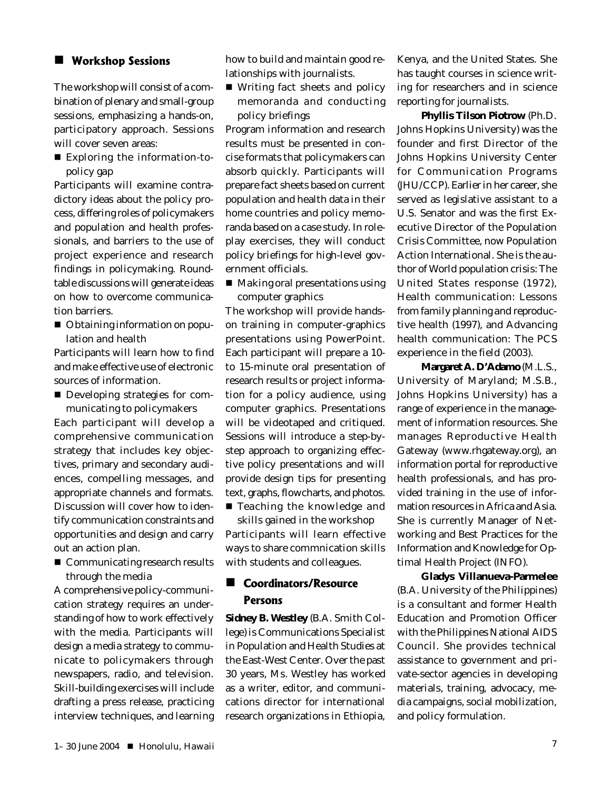### **E** Workshop Sessions

The workshop will consist of a combination of plenary and small-group sessions, emphasizing a hands-on, participatory approach. Sessions will cover seven areas:

 *Exploring the information-topolicy gap*

Participants will examine contradictory ideas about the policy process, differing roles of policymakers and population and health professionals, and barriers to the use of project experience and research findings in policymaking. Roundtable discussions will generate ideas on how to overcome communication barriers.

■ *Obtaining information on population and health*

Participants will learn how to find and make effective use of electronic sources of information.

■ *Developing strategies for communicating to policymakers*

Each participant will develop a comprehensive communication strategy that includes key objectives, primary and secondary audiences, compelling messages, and appropriate channels and formats. Discussion will cover how to identify communication constraints and opportunities and design and carry out an action plan.

 *Communicating research results through the media*

A comprehensive policy-communication strategy requires an understanding of how to work effectively with the media. Participants will design a media strategy to communicate to policymakers through newspapers, radio, and television. Skill-building exercises will include drafting a press release, practicing interview techniques, and learning

how to build and maintain good relationships with journalists.

■ *Writing fact sheets and policy memoranda and conducting policy briefings*

Program information and research results must be presented in concise formats that policymakers can absorb quickly. Participants will prepare fact sheets based on current population and health data in their home countries and policy memoranda based on a case study. In roleplay exercises, they will conduct policy briefings for high-level government officials.

 *Making oral presentations using computer graphics*

The workshop will provide handson training in computer-graphics presentations using PowerPoint. Each participant will prepare a 10 to 15-minute oral presentation of research results or project information for a policy audience, using computer graphics. Presentations will be videotaped and critiqued. Sessions will introduce a step-bystep approach to organizing effective policy presentations and will provide design tips for presenting text, graphs, flowcharts, and photos.

 *Teaching the knowledge and skills gained in the workshop* Participants will learn effective ways to share commnication skills with students and colleagues.

### ■ Coordinators/Resource Persons

**Sidney B. Westley** (B.A. Smith College) is Communications Specialist in Population and Health Studies at the East-West Center. Over the past 30 years, Ms. Westley has worked as a writer, editor, and communications director for international research organizations in Ethiopia, Kenya, and the United States. She has taught courses in science writing for researchers and in science reporting for journalists.

**Phyllis Tilson Piotrow** (Ph.D. Johns Hopkins University) was the founder and first Director of the Johns Hopkins University Center for Communication Programs (JHU/CCP). Earlier in her career, she served as legislative assistant to a U.S. Senator and was the first Executive Director of the Population Crisis Committee, now Population Action International. She is the author of *World population crisis: The United States response* (1972), *Health communication: Lessons from family planning and reproductive health* (1997), and *Advancing health communication: The PCS experience in the field* (2003).

**Margaret A. D'Adamo** (M.L.S., University of Maryland; M.S.B., Johns Hopkins University) has a range of experience in the management of information resources. She manages Reproductive Health Gateway (www.rhgateway.org), an information portal for reproductive health professionals, and has provided training in the use of information resources in Africa and Asia. She is currently Manager of Networking and Best Practices for the Information and Knowledge for Optimal Health Project (INFO).

**Gladys Villanueva-Parmelee** (B.A. University of the Philippines) is a consultant and former Health Education and Promotion Officer with the Philippines National AIDS Council. She provides technical assistance to government and private-sector agencies in developing materials, training, advocacy, media campaigns, social mobilization, and policy formulation.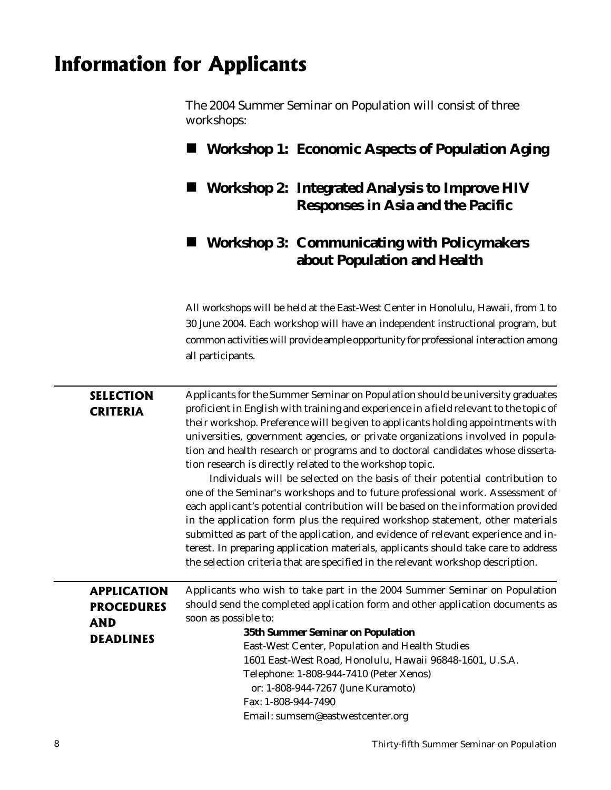# **Information for Applicants**

*The 2004 Summer Seminar on Population will consist of three workshops:*

### **Workshop 1: Economic Aspects of Population Aging**

 **Workshop 2: Integrated Analysis to Improve HIV Responses in Asia and the Pacific**

### **Workshop 3: Communicating with Policymakers about Population and Health**

All workshops will be held at the East-West Center in Honolulu, Hawaii, from 1 to 30 June 2004. Each workshop will have an independent instructional program, but common activities will provide ample opportunity for professional interaction among all participants.

| <b>SELECTION</b><br><b>CRITERIA</b>                                       | Applicants for the Summer Seminar on Population should be university graduates<br>proficient in English with training and experience in a field relevant to the topic of<br>their workshop. Preference will be given to applicants holding appointments with<br>universities, government agencies, or private organizations involved in popula-<br>tion and health research or programs and to doctoral candidates whose disserta-<br>tion research is directly related to the workshop topic.<br>Individuals will be selected on the basis of their potential contribution to<br>one of the Seminar's workshops and to future professional work. Assessment of<br>each applicant's potential contribution will be based on the information provided<br>in the application form plus the required workshop statement, other materials<br>submitted as part of the application, and evidence of relevant experience and in-<br>terest. In preparing application materials, applicants should take care to address<br>the selection criteria that are specified in the relevant workshop description. |
|---------------------------------------------------------------------------|-----------------------------------------------------------------------------------------------------------------------------------------------------------------------------------------------------------------------------------------------------------------------------------------------------------------------------------------------------------------------------------------------------------------------------------------------------------------------------------------------------------------------------------------------------------------------------------------------------------------------------------------------------------------------------------------------------------------------------------------------------------------------------------------------------------------------------------------------------------------------------------------------------------------------------------------------------------------------------------------------------------------------------------------------------------------------------------------------------|
| <b>APPLICATION</b><br><b>PROCEDURES</b><br><b>AND</b><br><b>DEADLINES</b> | Applicants who wish to take part in the 2004 Summer Seminar on Population<br>should send the completed application form and other application documents as<br>soon as possible to:<br>35th Summer Seminar on Population<br>East-West Center, Population and Health Studies<br>1601 East-West Road, Honolulu, Hawaii 96848-1601, U.S.A.<br>Telephone: 1-808-944-7410 (Peter Xenos)                                                                                                                                                                                                                                                                                                                                                                                                                                                                                                                                                                                                                                                                                                                   |

 or: 1-808-944-7267 (June Kuramoto) Fax: 1-808-944-7490

Email: sumsem@eastwestcenter.org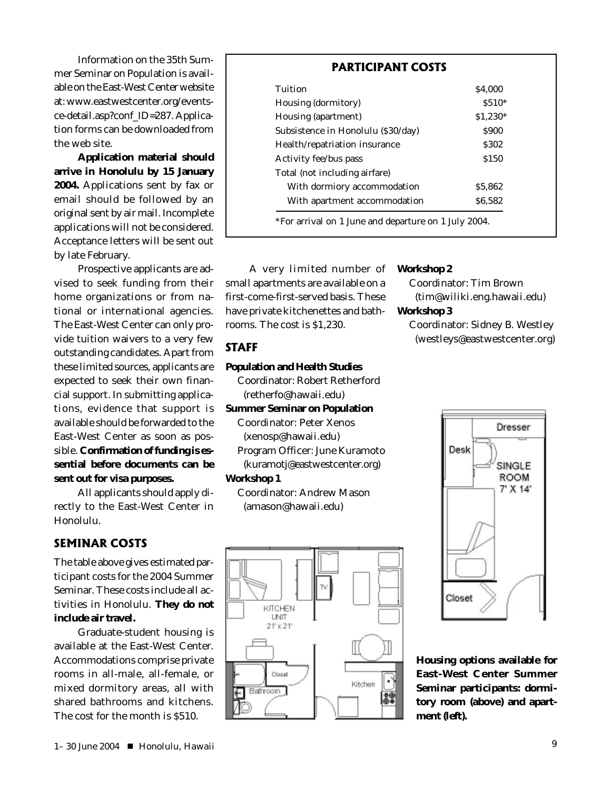Information on the 35th Summer Seminar on Population is available on the East-West Center website at: www.eastwestcenter.org/eventsce-detail.asp?conf\_ID=287. Application forms can be downloaded from the web site.

**Application material should arrive in Honolulu by 15 January 2004.** Applications sent by fax or email should be followed by an original sent by air mail. Incomplete applications will not be considered. Acceptance letters will be sent out by late February.

Prospective applicants are advised to seek funding from their home organizations or from national or international agencies. The East-West Center can only provide tuition waivers to a very few outstanding candidates. Apart from these limited sources, applicants are expected to seek their own financial support. In submitting applications, evidence that support is available should be forwarded to the East-West Center as soon as possible. **Confirmation of funding is essential before documents can be sent out for visa purposes.**

All applicants should apply directly to the East-West Center in Honolulu.

### **SEMINAR COSTS**

The table above gives estimated participant costs for the 2004 Summer Seminar. These costs include all activities in Honolulu. **They do not include air travel.**

Graduate-student housing is available at the East-West Center. Accommodations comprise private rooms in all-male, all-female, or mixed dormitory areas, all with shared bathrooms and kitchens. The cost for the month is \$510.

| Tuition                            | \$4,000   |
|------------------------------------|-----------|
| Housing (dormitory)                | $$510*$   |
| Housing (apartment)                | $$1,230*$ |
| Subsistence in Honolulu (\$30/day) | \$900     |
| Health/repatriation insurance      | \$302     |
| Activity fee/bus pass              | \$150     |
| Total (not including airfare)      |           |
| With dormiory accommodation        | \$5.862   |
| With apartment accommodation       | \$6,582   |

A very limited number of small apartments are available on a first-come-first-served basis. These have private kitchenettes and bathrooms. The cost is \$1,230.

### **STAFF**

#### **Population and Health Studies**

Coordinator: Robert Retherford (retherfo@hawaii.edu)

#### **Summer Seminar on Population**

Coordinator: Peter Xenos (xenosp@hawaii.edu) Program Officer: June Kuramoto (kuramotj@eastwestcenter.org)

#### **Workshop 1**

Coordinator: Andrew Mason (amason@hawaii.edu)

> KITCHEN **LINIT**  $21^{\circ} \times 21^{\circ}$

> > Closet

Bathroom

Kitchen

践

#### **Workshop 2**

Coordinator: Tim Brown (tim@wiliki.eng.hawaii.edu) **Workshop 3**

Coordinator: Sidney B. Westley (westleys@eastwestcenter.org)



**Housing options available for East-West Center Summer Seminar participants: dormitory room (above) and apartment (left).**